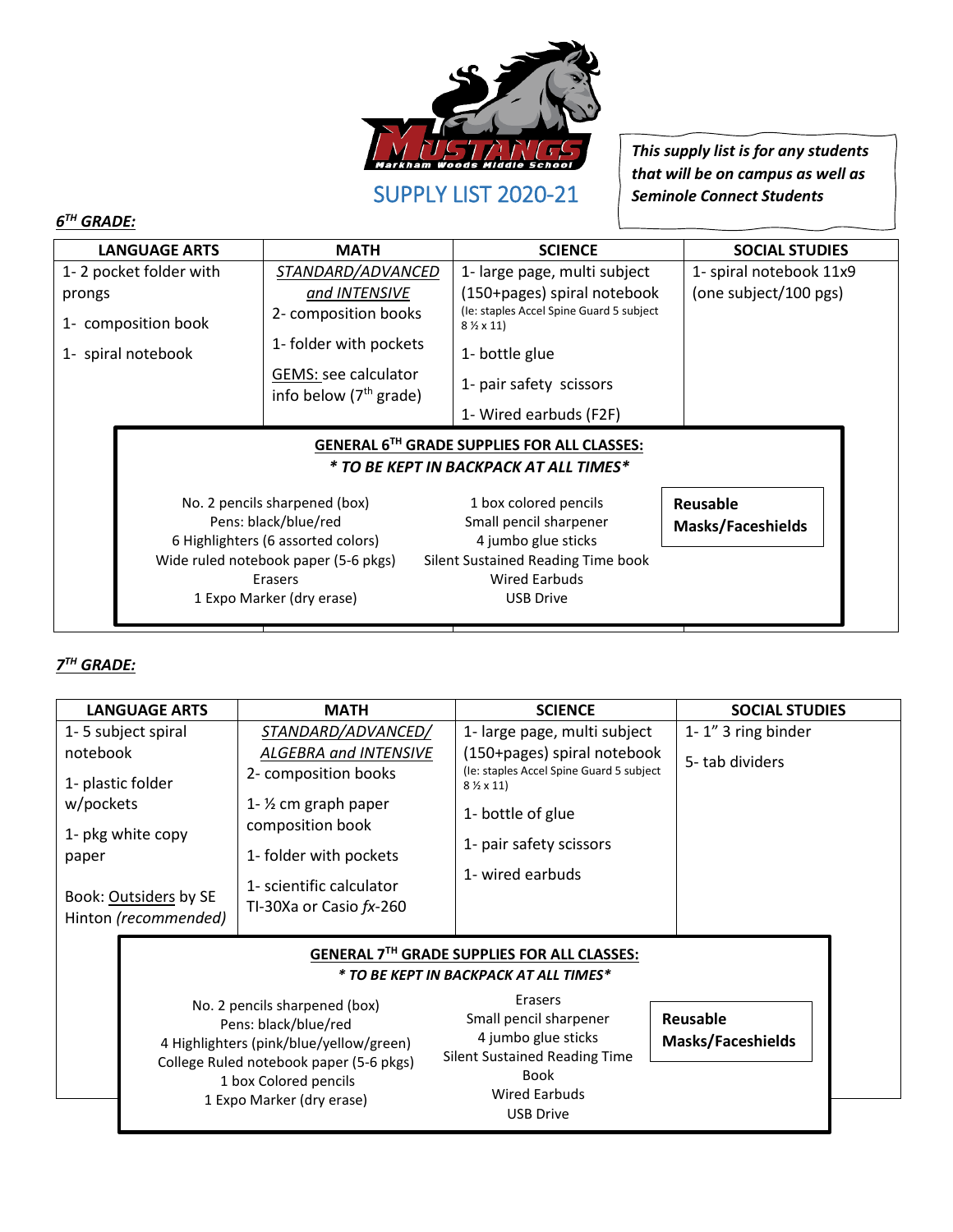

SUPPLY LIST 2020-21

*This supply list is for any students that will be on campus as well as Seminole Connect Students*

## *6 TH GRADE:*

| <b>LANGUAGE ARTS</b>                                                                         | <b>MATH</b>                                      | <b>SCIENCE</b>                                                       | <b>SOCIAL STUDIES</b>    |  |
|----------------------------------------------------------------------------------------------|--------------------------------------------------|----------------------------------------------------------------------|--------------------------|--|
| 1-2 pocket folder with                                                                       | STANDARD/ADVANCED                                | 1- large page, multi subject                                         | 1- spiral notebook 11x9  |  |
| prongs                                                                                       | and INTENSIVE                                    | (150+pages) spiral notebook                                          | (one subject/100 pgs)    |  |
| 1- composition book                                                                          | 2- composition books                             | (Ie: staples Accel Spine Guard 5 subject<br>$8\frac{1}{2} \times 11$ |                          |  |
| 1- spiral notebook                                                                           | 1- folder with pockets                           | 1- bottle glue                                                       |                          |  |
|                                                                                              | GEMS: see calculator<br>info below $(7th$ grade) | 1- pair safety scissors                                              |                          |  |
|                                                                                              |                                                  | 1- Wired earbuds (F2F)                                               |                          |  |
| <b>GENERAL 6TH GRADE SUPPLIES FOR ALL CLASSES:</b><br>* TO BE KEPT IN BACKPACK AT ALL TIMES* |                                                  |                                                                      |                          |  |
|                                                                                              |                                                  |                                                                      |                          |  |
|                                                                                              | No. 2 pencils sharpened (box)                    | 1 box colored pencils                                                | Reusable                 |  |
|                                                                                              | Pens: black/blue/red                             | Small pencil sharpener                                               |                          |  |
|                                                                                              | 6 Highlighters (6 assorted colors)               | 4 jumbo glue sticks                                                  | <b>Masks/Faceshields</b> |  |
|                                                                                              | Wide ruled notebook paper (5-6 pkgs)             | Silent Sustained Reading Time book                                   |                          |  |
|                                                                                              | Erasers                                          | <b>Wired Earbuds</b>                                                 |                          |  |

## *7 TH GRADE:*

| <b>LANGUAGE ARTS</b>                                                                                                                                                                                                                                                                                                                                                                                            | <b>MATH</b>                                         | <b>SCIENCE</b>                                                   | <b>SOCIAL STUDIES</b> |
|-----------------------------------------------------------------------------------------------------------------------------------------------------------------------------------------------------------------------------------------------------------------------------------------------------------------------------------------------------------------------------------------------------------------|-----------------------------------------------------|------------------------------------------------------------------|-----------------------|
| 1-5 subject spiral                                                                                                                                                                                                                                                                                                                                                                                              | STANDARD/ADVANCED/                                  | 1- large page, multi subject                                     | 1-1" 3 ring binder    |
| notebook                                                                                                                                                                                                                                                                                                                                                                                                        | ALGEBRA and INTENSIVE                               | (150+pages) spiral notebook                                      | 5-tab dividers        |
| 1- plastic folder                                                                                                                                                                                                                                                                                                                                                                                               | 2- composition books                                | (le: staples Accel Spine Guard 5 subject<br>$8\frac{1}{2}$ x 11) |                       |
| w/pockets                                                                                                                                                                                                                                                                                                                                                                                                       | 1- $\frac{1}{2}$ cm graph paper<br>composition book | 1- bottle of glue                                                |                       |
| 1- pkg white copy<br>paper                                                                                                                                                                                                                                                                                                                                                                                      | 1- folder with pockets                              | 1- pair safety scissors                                          |                       |
| Book: Outsiders by SE                                                                                                                                                                                                                                                                                                                                                                                           | 1- scientific calculator                            | 1- wired earbuds                                                 |                       |
| Hinton (recommended)                                                                                                                                                                                                                                                                                                                                                                                            | TI-30Xa or Casio $fx-260$                           |                                                                  |                       |
|                                                                                                                                                                                                                                                                                                                                                                                                                 |                                                     | GENERAL 7TH GRADE SUPPLIES FOR ALL CLASSES:                      |                       |
|                                                                                                                                                                                                                                                                                                                                                                                                                 |                                                     | * TO BE KEPT IN BACKPACK AT ALL TIMES*                           |                       |
| Erasers<br>No. 2 pencils sharpened (box)<br><b>Reusable</b><br>Small pencil sharpener<br>Pens: black/blue/red<br>4 jumbo glue sticks<br><b>Masks/Faceshields</b><br>4 Highlighters (pink/blue/yellow/green)<br><b>Silent Sustained Reading Time</b><br>College Ruled notebook paper (5-6 pkgs)<br><b>Book</b><br>1 box Colored pencils<br><b>Wired Earbuds</b><br>1 Expo Marker (dry erase)<br><b>USB Drive</b> |                                                     |                                                                  |                       |